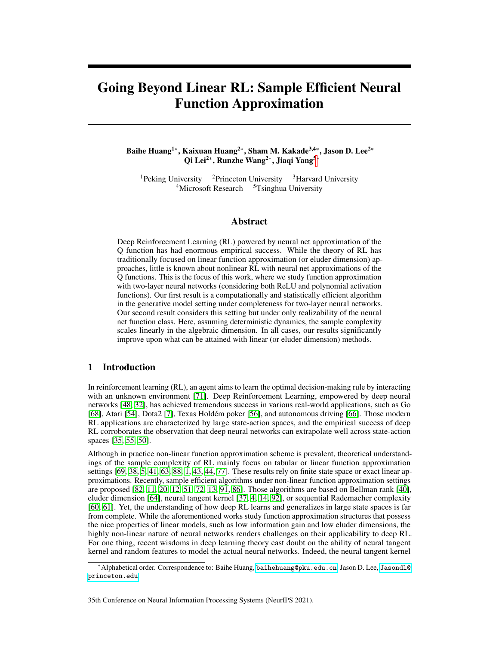# Going Beyond Linear RL: Sample Efficient Neural Function Approximation

# Baihe Huang<sup>1</sup>\*, Kaixuan Huang<sup>2</sup>\*, Sham M. Kakade<sup>3,4</sup>\*, Jason D. Lee<sup>2</sup>\* Qi Lei<sup>2∗</sup>, Runzhe Wang<sup>2∗</sup>, Jiaqi Yang<sup>5∗</sup>

<sup>1</sup>Peking University <sup>2</sup>Princeton University <sup>3</sup>Harvard University  $4$ Microsoft Research  $5$ Tsinghua University

# Abstract

Deep Reinforcement Learning (RL) powered by neural net approximation of the Q function has had enormous empirical success. While the theory of RL has traditionally focused on linear function approximation (or eluder dimension) approaches, little is known about nonlinear RL with neural net approximations of the Q functions. This is the focus of this work, where we study function approximation with two-layer neural networks (considering both ReLU and polynomial activation functions). Our first result is a computationally and statistically efficient algorithm in the generative model setting under completeness for two-layer neural networks. Our second result considers this setting but under only realizability of the neural net function class. Here, assuming deterministic dynamics, the sample complexity scales linearly in the algebraic dimension. In all cases, our results significantly improve upon what can be attained with linear (or eluder dimension) methods.

# 1 Introduction

In reinforcement learning (RL), an agent aims to learn the optimal decision-making rule by interacting with an unknown environment [\[71\]](#page-14-0). Deep Reinforcement Learning, empowered by deep neural networks [\[48,](#page-12-0) [32\]](#page-11-0), has achieved tremendous success in various real-world applications, such as Go [\[68\]](#page-13-0), Atari [\[54\]](#page-13-1), Dota2 [\[7\]](#page-10-0), Texas Holdém poker [\[56\]](#page-13-2), and autonomous driving [\[66\]](#page-13-3). Those modern RL applications are characterized by large state-action spaces, and the empirical success of deep RL corroborates the observation that deep neural networks can extrapolate well across state-action spaces [\[35,](#page-12-1) [55,](#page-13-4) [50\]](#page-12-2).

Although in practice non-linear function approximation scheme is prevalent, theoretical understandings of the sample complexity of RL mainly focus on tabular or linear function approximation settings [\[69,](#page-13-5) [38,](#page-12-3) [5,](#page-10-1) [41,](#page-12-4) [63,](#page-13-6) [88,](#page-14-1) [1,](#page-10-2) [43,](#page-12-5) [44,](#page-12-6) [77\]](#page-14-2). These results rely on finite state space or exact linear approximations. Recently, sample efficient algorithms under non-linear function approximation settings are proposed [\[82,](#page-14-3) [11,](#page-10-3) [20,](#page-11-1) [12,](#page-10-4) [51,](#page-12-7) [72,](#page-14-4) [13,](#page-10-5) [91,](#page-15-0) [86\]](#page-14-5). Those algorithms are based on Bellman rank [\[40\]](#page-12-8), eluder dimension [\[64\]](#page-13-7), neural tangent kernel [\[37,](#page-12-9) [4,](#page-10-6) [14,](#page-10-7) [92\]](#page-15-1), or sequential Rademacher complexity [\[60,](#page-13-8) [61\]](#page-13-9). Yet, the understanding of how deep RL learns and generalizes in large state spaces is far from complete. While the aforementioned works study function approximation structures that possess the nice properties of linear models, such as low information gain and low eluder dimensions, the highly non-linear nature of neural networks renders challenges on their applicability to deep RL. For one thing, recent wisdoms in deep learning theory cast doubt on the ability of neural tangent kernel and random features to model the actual neural networks. Indeed, the neural tangent kernel

<sup>∗</sup>Alphabetical order. Correspondence to: Baihe Huang, <baihehuang@pku.edu.cn>, Jason D. Lee, [Jasondl@](Jasondl@princeton.edu) [princeton.edu](Jasondl@princeton.edu).

<sup>35</sup>th Conference on Neural Information Processing Systems (NeurIPS 2021).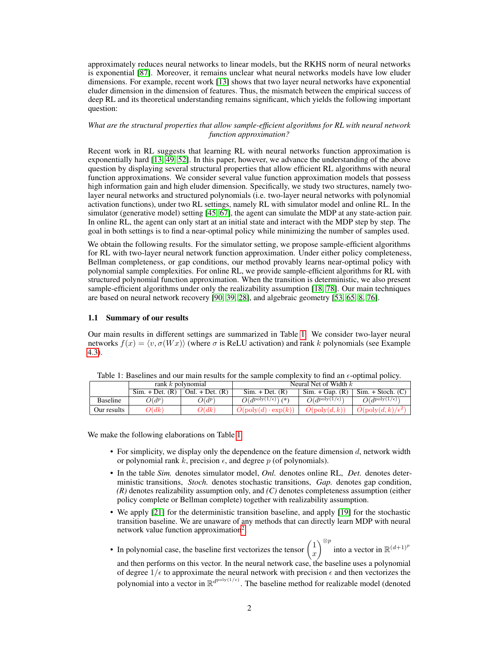approximately reduces neural networks to linear models, but the RKHS norm of neural networks is exponential [\[87\]](#page-14-6). Moreover, it remains unclear what neural networks models have low eluder dimensions. For example, recent work [\[13\]](#page-10-5) shows that two layer neural networks have exponential eluder dimension in the dimension of features. Thus, the mismatch between the empirical success of deep RL and its theoretical understanding remains significant, which yields the following important question:

## *What are the structural properties that allow sample-efficient algorithms for RL with neural network function approximation?*

Recent work in RL suggests that learning RL with neural networks function approximation is exponentially hard [\[13,](#page-10-5) [49,](#page-12-10) [52\]](#page-12-11). In this paper, however, we advance the understanding of the above question by displaying several structural properties that allow efficient RL algorithms with neural function approximations. We consider several value function approximation models that possess high information gain and high eluder dimension. Specifically, we study two structures, namely twolayer neural networks and structured polynomials (i.e. two-layer neural networks with polynomial activation functions), under two RL settings, namely RL with simulator model and online RL. In the simulator (generative model) setting [\[45,](#page-12-12) [67\]](#page-13-10), the agent can simulate the MDP at any state-action pair. In online RL, the agent can only start at an initial state and interact with the MDP step by step. The goal in both settings is to find a near-optimal policy while minimizing the number of samples used.

We obtain the following results. For the simulator setting, we propose sample-efficient algorithms for RL with two-layer neural network function approximation. Under either policy completeness, Bellman completeness, or gap conditions, our method provably learns near-optimal policy with polynomial sample complexities. For online RL, we provide sample-efficient algorithms for RL with structured polynomial function approximation. When the transition is deterministic, we also present sample-efficient algorithms under only the realizability assumption [\[18,](#page-11-2) [78\]](#page-14-7). Our main techniques are based on neural network recovery [\[90,](#page-15-2) [39,](#page-12-13) [28\]](#page-11-3), and algebraic geometry [\[53,](#page-13-11) [65,](#page-13-12) [8,](#page-10-8) [76\]](#page-14-8).

## 1.1 Summary of our results

Our main results in different settings are summarized in Table [1.](#page-1-0) We consider two-layer neural networks  $f(x) = \langle v, \sigma(Wx) \rangle$  (where  $\sigma$  is ReLU activation) and rank k polynomials (see Example [4.3\)](#page-7-0).

|                 | rank $k$ polynomial |                   | Neural Net of Width $k$              |                                  |                                   |  |
|-----------------|---------------------|-------------------|--------------------------------------|----------------------------------|-----------------------------------|--|
|                 | $Sim. + Det. (R)$   | Onl. + Det. $(R)$ | $Sim. + Det. (R)$                    | $Sim. + Gap. (R)$                | $Sim. + Stoch. (C)$               |  |
| <b>Baseline</b> | $O(d^p)$            | $O(d^p)$          | $O(d^{\text{poly}(1/\epsilon)})$ (*) | $O(d^{\text{poly}(1/\epsilon)})$ | $O(d^{\text{poly}(1/\epsilon)})$  |  |
| Our results     | O(dk)               | O(dk)             | $O(\text{poly}(d) \cdot \exp(k))$    | $O(\text{poly}(d, k))$           | $O(\text{poly}(d, k)/\epsilon^2)$ |  |

<span id="page-1-0"></span>Table 1: Baselines and our main results for the sample complexity to find an  $\epsilon$ -optimal policy.

We make the following elaborations on Table [1.](#page-1-0)

- For simplicity, we display only the dependence on the feature dimension  $d$ , network width or polynomial rank k, precision  $\epsilon$ , and degree p (of polynomials).
- In the table *Sim.* denotes simulator model, *Onl.* denotes online RL, *Det.* denotes deterministic transitions, *Stoch.* denotes stochastic transitions, *Gap.* denotes gap condition, *(R)* denotes realizability assumption only, and *(C)* denotes completeness assumption (either policy complete or Bellman complete) together with realizability assumption.
- We apply [\[21\]](#page-11-4) for the deterministic transition baseline, and apply [\[19\]](#page-11-5) for the stochastic transition baseline. We are unaware of any methods that can directly learn MDP with neural network value function approximation<sup>[2](#page-2-0)</sup>.
- In polynomial case, the baseline first vectorizes the tensor  $\begin{pmatrix} 1 \\ -1 \end{pmatrix}$  $\overline{x}$  $\sum_{n=1}^{\infty}$  into a vector in  $\mathbb{R}^{(d+1)^p}$ and then performs on this vector. In the neural network case, the baseline uses a polynomial of degree  $1/\epsilon$  to approximate the neural network with precision  $\epsilon$  and then vectorizes the polynomial into a vector in  $\mathbb{R}^{d^{\text{poly}(1/\epsilon)}}$ . The baseline method for realizable model (denoted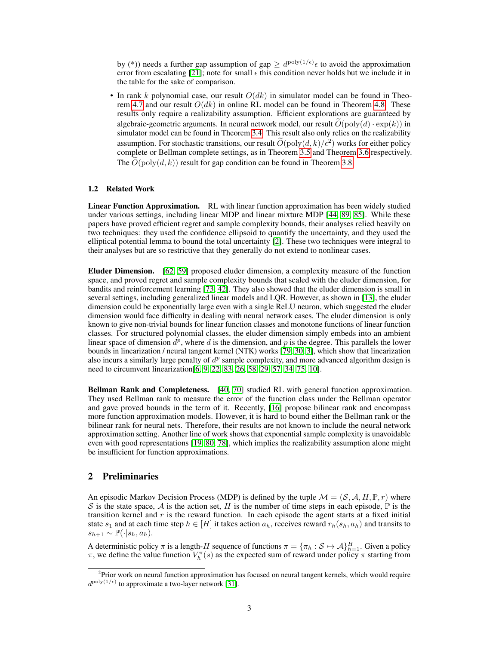by (\*)) needs a further gap assumption of gap  $\geq d^{\text{poly}(1/\epsilon)} \epsilon$  to avoid the approximation error from escalating [\[21\]](#page-11-4); note for small  $\epsilon$  this condition never holds but we include it in the table for the sake of comparison.

• In rank k polynomial case, our result  $O(dk)$  in simulator model can be found in Theo-rem [4.7](#page-8-0) and our result  $O(dk)$  in online RL model can be found in Theorem [4.8.](#page-8-1) These results only require a realizability assumption. Efficient explorations are guaranteed by algebraic-geometric arguments. In neural network model, our result  $O(poly(d) \cdot exp(k))$  in simulator model can be found in Theorem [3.4.](#page-4-0) This result also only relies on the realizability assumption. For stochastic transitions, our result  $\tilde{O}(\text{poly}(d, k)/\epsilon^2)$  works for either policy complete or Bellman complete settings, as in Theorem [3.5](#page-5-0) and Theorem [3.6](#page-6-0) respectively. The  $O(\text{poly}(d, k))$  result for gap condition can be found in Theorem [3.8.](#page-6-1)

#### 1.2 Related Work

Linear Function Approximation. RL with linear function approximation has been widely studied under various settings, including linear MDP and linear mixture MDP [\[44,](#page-12-6) [89,](#page-15-3) [85\]](#page-14-9). While these papers have proved efficient regret and sample complexity bounds, their analyses relied heavily on two techniques: they used the confidence ellipsoid to quantify the uncertainty, and they used the elliptical potential lemma to bound the total uncertainty [\[2\]](#page-10-9). These two techniques were integral to their analyses but are so restrictive that they generally do not extend to nonlinear cases.

Eluder Dimension. [\[62,](#page-13-13) [59\]](#page-13-14) proposed eluder dimension, a complexity measure of the function space, and proved regret and sample complexity bounds that scaled with the eluder dimension, for bandits and reinforcement learning [\[73,](#page-14-10) [42\]](#page-12-14). They also showed that the eluder dimension is small in several settings, including generalized linear models and LQR. However, as shown in [\[13\]](#page-10-5), the eluder dimension could be exponentially large even with a single ReLU neuron, which suggested the eluder dimension would face difficulty in dealing with neural network cases. The eluder dimension is only known to give non-trivial bounds for linear function classes and monotone functions of linear function classes. For structured polynomial classes, the eluder dimension simply embeds into an ambient linear space of dimension  $d^p$ , where d is the dimension, and p is the degree. This parallels the lower bounds in linearization / neural tangent kernel (NTK) works [\[79,](#page-14-11) [30,](#page-11-6) [3\]](#page-10-10), which show that linearization also incurs a similarly large penalty of  $d^p$  sample complexity, and more advanced algorithm design is need to circumvent linearization[\[6,](#page-10-11) [9,](#page-10-12) [22,](#page-11-7) [83,](#page-14-12) [26,](#page-11-8) [58,](#page-13-15) [29,](#page-11-9) [57,](#page-13-16) [34,](#page-11-10) [75,](#page-14-13) [10\]](#page-10-13).

Bellman Rank and Completeness. [\[40,](#page-12-8) [70\]](#page-13-17) studied RL with general function approximation. They used Bellman rank to measure the error of the function class under the Bellman operator and gave proved bounds in the term of it. Recently, [\[16\]](#page-11-11) propose bilinear rank and encompass more function approximation models. However, it is hard to bound either the Bellman rank or the bilinear rank for neural nets. Therefore, their results are not known to include the neural network approximation setting. Another line of work shows that exponential sample complexity is unavoidable even with good representations [\[19,](#page-11-5) [80,](#page-14-14) [78\]](#page-14-7), which implies the realizability assumption alone might be insufficient for function approximations.

## 2 Preliminaries

An episodic Markov Decision Process (MDP) is defined by the tuple  $\mathcal{M} = (\mathcal{S}, \mathcal{A}, H, \mathbb{P}, r)$  where S is the state space, A is the action set, H is the number of time steps in each episode,  $\mathbb P$  is the transition kernel and  $r$  is the reward function. In each episode the agent starts at a fixed initial state  $s_1$  and at each time step  $h \in [H]$  it takes action  $a_h$ , receives reward  $r_h(s_h, a_h)$  and transits to  $s_{h+1} \sim \mathbb{P}(\cdot|s_h, a_h).$ 

A deterministic policy  $\pi$  is a length-H sequence of functions  $\pi = {\{\pi_h : S \mapsto A\}}_{h=1}^H$ . Given a policy  $\pi$ , we define the value function  $V_h^{\pi}(s)$  as the expected sum of reward under policy  $\pi$  starting from

<span id="page-2-0"></span><sup>&</sup>lt;sup>2</sup>Prior work on neural function approximation has focused on neural tangent kernels, which would require  $d^{\text{poly}(1/\epsilon)}$  to approximate a two-layer network [\[31\]](#page-11-12).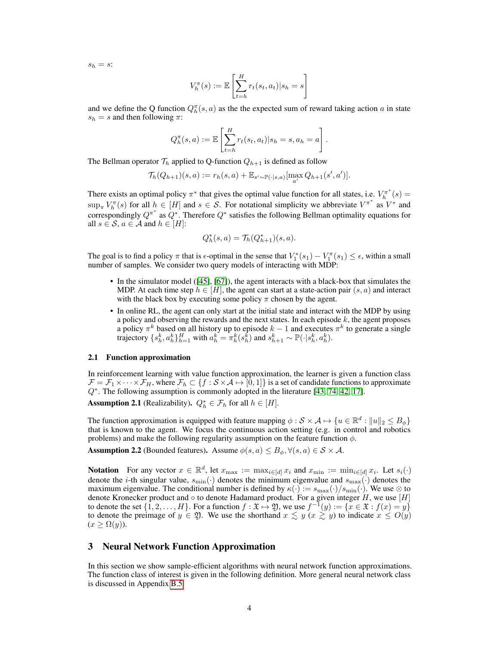$s_h = s$ :

$$
V_h^{\pi}(s) := \mathbb{E}\left[\sum_{t=h}^H r_t(s_t, a_t) | s_h = s\right]
$$

and we define the Q function  $Q_h^{\pi}(s, a)$  as the the expected sum of reward taking action a in state  $s_h = s$  and then following  $\pi$ :

$$
Q_h^{\pi}(s, a) := \mathbb{E}\left[\sum_{t=h}^H r_t(s_t, a_t)|s_h = s, a_h = a\right].
$$

The Bellman operator  $\mathcal{T}_h$  applied to Q-function  $Q_{h+1}$  is defined as follow

$$
\mathcal{T}_h(Q_{h+1})(s,a) := r_h(s,a) + \mathbb{E}_{s' \sim \mathbb{P}(\cdot | s,a)}[\max_{a'} Q_{h+1}(s',a')].
$$

There exists an optimal policy  $\pi^*$  that gives the optimal value function for all states, i.e.  $V_h^{\pi^*}(s)$  =  $\sup_{\pi} V_h^{\pi}(s)$  for all  $h \in [H]$  and  $s \in S$ . For notational simplicity we abbreviate  $V^{\pi^*}$  as  $V^*$  and correspondingly  $Q^{\pi^*}$  as  $Q^*$ . Therefore  $Q^*$  satisfies the following Bellman optimality equations for all  $s \in \mathcal{S}$ ,  $a \in \mathcal{A}$  and  $h \in [H]$ :

$$
Q_h^*(s, a) = \mathcal{T}_h(Q_{h+1}^*)(s, a).
$$

The goal is to find a policy  $\pi$  that is  $\epsilon$ -optimal in the sense that  $V_1^*(s_1) - V_1^{\pi}(s_1) \leq \epsilon$ , within a small number of samples. We consider two query models of interacting with MDP:

- In the simulator model ([\[45\]](#page-12-12), [\[67\]](#page-13-10)), the agent interacts with a black-box that simulates the MDP. At each time step  $h \in [H]$ , the agent can start at a state-action pair  $(s, a)$  and interact with the black box by executing some policy  $\pi$  chosen by the agent.
- In online RL, the agent can only start at the initial state and interact with the MDP by using a policy and observing the rewards and the next states. In each episode  $k$ , the agent proposes a policy  $\pi^k$  based on all history up to episode  $k-1$  and executes  $\pi^k$  to generate a single trajectory  $\{s_h^k, a_h^k\}_{h=1}^H$  with  $a_h^k = \pi_h^k(s_h^k)$  and  $s_{h+1}^k \sim \mathbb{P}(\cdot | s_h^k, a_h^k)$ .

#### 2.1 Function approximation

In reinforcement learning with value function approximation, the learner is given a function class  $\mathcal{F} = \mathcal{F}_1 \times \cdots \times \mathcal{F}_H$ , where  $\mathcal{F}_h \subset \{f : \mathcal{S} \times \mathcal{A} \mapsto [0, 1]\}$  is a set of candidate functions to approximate Q<sup>∗</sup>. The following assumption is commonly adopted in the literature [\[43,](#page-12-5) [74,](#page-14-15) [42,](#page-12-14) [17\]](#page-11-13).

<span id="page-3-0"></span>**Assumption 2.1** (Realizability).  $Q_h^* \in \mathcal{F}_h$  for all  $h \in [H]$ .

The function approximation is equipped with feature mapping  $\phi : \mathcal{S} \times \mathcal{A} \mapsto \{u \in \mathbb{R}^d : ||u||_2 \leq B_\phi\}$ that is known to the agent. We focus the continuous action setting (e.g. in control and robotics problems) and make the following regularity assumption on the feature function  $\phi$ .

**Assumption 2.2** (Bounded features). Assume  $\phi(s, a) \leq B_{\phi}, \forall (s, a) \in S \times A$ .

**Notation** For any vector  $x \in \mathbb{R}^d$ , let  $x_{\text{max}} := \max_{i \in [d]} x_i$  and  $x_{\text{min}} := \min_{i \in [d]} x_i$ . Let  $s_i(\cdot)$ denote the *i*-th singular value,  $s_{\min}(\cdot)$  denotes the minimum eigenvalue and  $s_{\max}(\cdot)$  denotes the maximum eigenvalue. The conditional number is defined by  $\kappa(\cdot) := s_{\max}(\cdot)/s_{\min}(\cdot)$ . We use  $\otimes$  to denote Kronecker product and  $\circ$  to denote Hadamard product. For a given integer H, we use [H] to denote the set  $\{1, 2, \ldots, H\}$ . For a function  $f : \mathfrak{X} \mapsto \mathfrak{Y}$ , we use  $f^{-1}(y) := \{x \in \mathfrak{X} : f(x) = y\}$ to denote the preimage of  $y \in \mathfrak{Y}$ . We use the shorthand  $x \leq y$   $(x \geq y)$  to indicate  $x \leq O(y)$  $(x \geq \Omega(y)).$ 

# 3 Neural Network Function Approximation

In this section we show sample-efficient algorithms with neural network function approximations. The function class of interest is given in the following definition. More general neural network class is discussed in Appendix [B.5.](#page--1-0)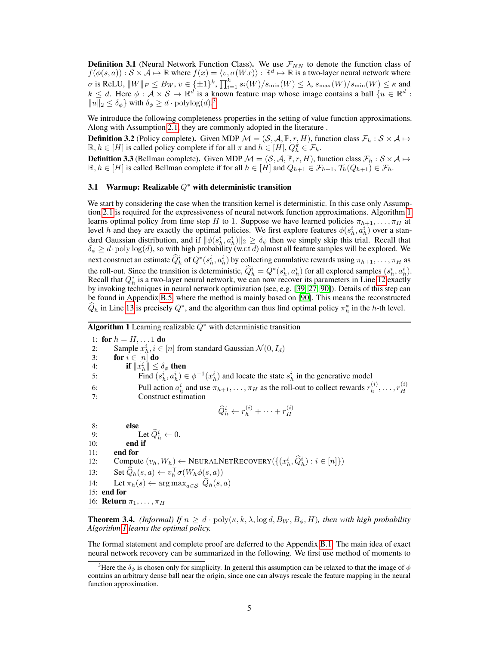**Definition 3.1** (Neural Network Function Class). We use  $\mathcal{F}_{NN}$  to denote the function class of  $f(\phi(s, a)) : S \times A \mapsto \mathbb{R}$  where  $f(x) = \langle v, \sigma(Wx) \rangle : \mathbb{R}^d \mapsto \mathbb{R}$  is a two-layer neural network where σ is ReLU,  $||W||_F \leq B_W$ ,  $v \in {\{\pm 1\}}^k$ ,  $\prod_{i=1}^k s_i(W)/s_{\min}(W) \leq \lambda$ ,  $s_{\max}(W)/s_{\min}(W) \leq \kappa$  and  $k \leq d$ . Here  $\phi : A \times S \mapsto \mathbb{R}^d$  is a known feature map whose image contains a ball  $\{u \in \mathbb{R}^d :$  $||u||_2 \leq \delta_\phi$  with  $\delta_\phi \geq d \cdot \text{polylog}(d).^3$  $\delta_\phi \geq d \cdot \text{polylog}(d).^3$ 

We introduce the following completeness properties in the setting of value function approximations. Along with Assumption [2.1,](#page-3-0) they are commonly adopted in the literature .

**Definition 3.2** (Policy complete). Given MDP  $M = (S, A, \mathbb{P}, r, H)$ , function class  $\mathcal{F}_h : S \times A \mapsto$  $\mathbb{R}, h \in [H]$  is called policy complete if for all  $\pi$  and  $h \in [H], Q_h^{\pi} \in \mathcal{F}_h$ .

**Definition 3.3** (Bellman complete). Given MDP  $M = (S, A, \mathbb{P}, r, H)$ , function class  $\mathcal{F}_h : S \times A \mapsto$  $\mathbb{R}, h \in [H]$  is called Bellman complete if for all  $h \in [H]$  and  $Q_{h+1} \in \mathcal{F}_{h+1}, \mathcal{T}_h(Q_{h+1}) \in \mathcal{F}_h$ .

#### 3.1 Warmup: Realizable  $Q^*$  with deterministic transition

We start by considering the case when the transition kernel is deterministic. In this case only Assumption [2.1](#page-3-0) is required for the expressiveness of neural network function approximations. Algorithm [1](#page-4-2) learns optimal policy from time step H to 1. Suppose we have learned policies  $\pi_{h+1}, \ldots, \pi_H$  at level h and they are exactly the optimal policies. We first explore features  $\phi(s_h^i, a_h^i)$  over a standard Gaussian distribution, and if  $\|\phi(s_h^i, a_h^i)\|_2 \ge \delta_\phi$  then we simply skip this trial. Recall that  $\delta_{\phi} \geq d \cdot \text{poly} \log(d)$ , so with high probability (w.r.t d) almost all feature samples will be explored. We next construct an estimate  $\hat{Q}_h^i$  of  $Q^*(s_h^i, a_h^i)$  by collecting cumulative rewards using  $\pi_{h+1}, \dots, \pi_H$  as the roll-out. Since the transition is deterministic,  $\hat{Q}_h^i = Q^*(s_h^i, a_h^i)$  for all explored samples  $(s_h^i, a_h^i)$ . Recall that  $Q_h^*$  is a two-layer neural network, we can now recover its parameters in Line [12](#page-4-2) exactly by invoking techniques in neural network optimization (see, e.g. [\[39,](#page-12-13) [27,](#page-11-14) [90\]](#page-15-2)). Details of this step can be found in Appendix [B.5,](#page--1-0) where the method is mainly based on [\[90\]](#page-15-2). This means the reconstructed  $\hat{Q}_h$  in Line [13](#page-4-2) is precisely  $Q^*$ , and the algorithm can thus find optimal policy  $\pi_h^*$  in the h-th level.

<span id="page-4-2"></span>

|  |  |  |  | <b>Algorithm 1</b> Learning realizable $Q^*$ with deterministic transition |  |
|--|--|--|--|----------------------------------------------------------------------------|--|
|--|--|--|--|----------------------------------------------------------------------------|--|

1: for  $h = H, \ldots 1$  do 2: Sample  $x_h^i$ ,  $i \in [n]$  from standard Gaussian  $\mathcal{N}(0, I_d)$ 3: for  $i \in [n]$  do 4: **if**  $||x_h^i|| \le \delta_\phi$  then 5: Find  $(s_h^i, a_h^i) \in \phi^{-1}(x_h^i)$  and locate the state  $s_h^i$  in the generative model 6: Pull action  $a_h^i$  and use  $\pi_{h+1}, \ldots, \pi_H$  as the roll-out to collect rewards  $r_h^{(i)}$  $\binom{i}{h},\ldots,r_H^{(i)}$ H 7: Construct estimation  $\widehat{Q}_h^i \leftarrow r_h^{(i)} + \cdots + r_H^{(i)}$ H 8: else 9: Let  $\widehat{Q}_h^i \leftarrow 0$ . 10: **end if** 11: end for 12: Compute  $(v_h, W_h) \leftarrow \text{NEURALNETRECOVERY}(\{(x_h^i, \hat{Q}_h^i) : i \in [n]\})$ 13: Set  $\widehat{Q}_h(s, a) \leftarrow v_h^{\top} \sigma(W_h \phi(s, a))$ 14: Let  $\pi_h(s) \leftarrow \arg \max_{a \in \mathcal{S}} \widehat{Q}_h(s, a)$ 15: end for 16: **Return**  $\pi_1, \ldots, \pi_H$ 

<span id="page-4-0"></span>**Theorem 3.4.** *(Informal) If*  $n \geq d \cdot \text{poly}(\kappa, k, \lambda, \log d, B_W, B_{\phi}, H)$ *, then with high probability Algorithm [1](#page-4-2) learns the optimal policy.*

The formal statement and complete proof are deferred to the Appendix [B.1.](#page--1-1) The main idea of exact neural network recovery can be summarized in the following. We first use method of moments to

<span id="page-4-1"></span><sup>&</sup>lt;sup>3</sup>Here the  $\delta_{\phi}$  is chosen only for simplicity. In general this assumption can be relaxed to that the image of  $\phi$ contains an arbitrary dense ball near the origin, since one can always rescale the feature mapping in the neural function approximation.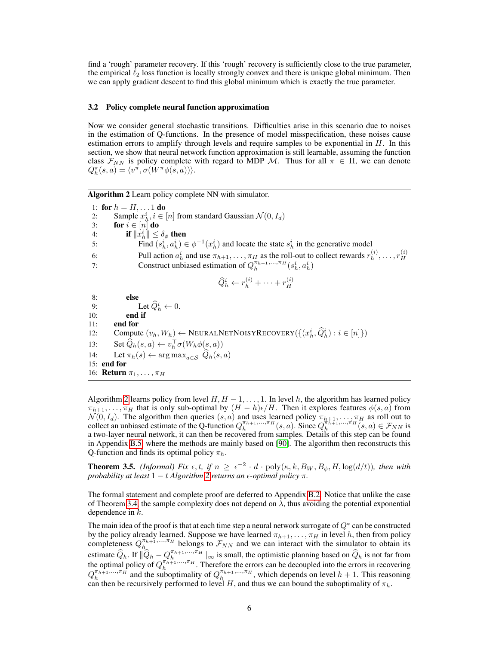find a 'rough' parameter recovery. If this 'rough' recovery is sufficiently close to the true parameter, the empirical  $\ell_2$  loss function is locally strongly convex and there is unique global minimum. Then we can apply gradient descent to find this global minimum which is exactly the true parameter.

#### 3.2 Policy complete neural function approximation

Now we consider general stochastic transitions. Difficulties arise in this scenario due to noises in the estimation of Q-functions. In the presence of model misspecification, these noises cause estimation errors to amplify through levels and require samples to be exponential in  $H$ . In this section, we show that neural network function approximation is still learnable, assuming the function class  $\mathcal{F}_{NN}$  is policy complete with regard to MDP M. Thus for all  $\pi \in \Pi$ , we can denote  $Q_h^{\pi}(s, a) = \langle v^{\pi}, \sigma(W^{\pi} \phi(s, a)) \rangle.$ 

<span id="page-5-1"></span>Algorithm 2 Learn policy complete NN with simulator.

1: for  $h = H, \ldots 1$  do 2: Sample  $x_h^i$ ,  $i \in [n]$  from standard Gaussian  $\mathcal{N}(0, I_d)$ 3: for  $i \in [n]$  do 4: **if**  $||x_h^i|| \le \delta_\phi$  then 5: Find  $(s_h^i, a_h^i) \in \phi^{-1}(x_h^i)$  and locate the state  $s_h^i$  in the generative model 6: Pull action  $a_h^i$  and use  $\pi_{h+1}, \ldots, \pi_H$  as the roll-out to collect rewards  $r_h^{(i)}$  $\binom{i}{h},\ldots,r_H^{(i)}$ 7: Construct unbiased estimation of  $Q_h^{\pi_{h+1},..., \pi_H}(s_h^i, a_h^i)$  $\widehat{Q}_h^i \leftarrow r_h^{(i)} + \cdots + r_H^{(i)}$ H 8: else 9: Let  $\widehat{Q}_h^i \leftarrow 0$ . 10: end if 11: end for 12: Compute  $(v_h, W_h) \leftarrow \text{NEURALNETNOISYRECOVERY}(\{(x_h^i, \hat{Q}_h^i) : i \in [n]\})$ 13: Set  $\widehat{Q}_h(s, a) \leftarrow v_h^{\top} \sigma(W_h \phi(s, a))$ 14: Let  $\pi_h(s) \leftarrow \arg \max_{a \in \mathcal{S}} \widehat{Q}_h(s, a)$ 15: end for 16: **Return**  $\pi_1, \ldots, \pi_H$ 

H

Algorithm [2](#page-5-1) learns policy from level  $H, H - 1, \ldots, 1$ . In level h, the algorithm has learned policy  $\pi_{h+1}, \ldots, \pi_H$  that is only sub-optimal by  $(H-h)\epsilon/H$ . Then it explores features  $\phi(s, a)$  from  $\mathcal{N}(0, I_d)$ . The algorithm then queries  $(s, a)$  and uses learned policy  $\pi_{h+1}, \dots, \pi_H$  as roll out to collect an unbiased estimate of the Q-function  $Q_h^{\pi_{h+1},\dots,\pi_H}(s, a)$ . Since  $Q_h^{\pi_{h+1},\dots,\pi_H}(s, a) \in \mathcal{F}_{NN}$  is a two-layer neural network, it can then be recovered from samples. Details of this step can be found in Appendix [B.5,](#page--1-0) where the methods are mainly based on [\[90\]](#page-15-2). The algorithm then reconstructs this Q-function and finds its optimal policy  $\pi_h$ .

<span id="page-5-0"></span>**Theorem 3.5.** *(Informal) Fix*  $\epsilon$ ,  $t$ , if  $n \geq \epsilon^{-2} \cdot d \cdot \text{poly}(\kappa, k, B_W, B_\phi, H, \log(d/t))$ , then with *probability at least*  $1 - t$  *Algorithm* [2](#page-5-1) *returns an*  $\epsilon$ *-optimal policy*  $\pi$ *.* 

The formal statement and complete proof are deferred to Appendix [B.2.](#page--1-2) Notice that unlike the case of Theorem [3.4,](#page-4-0) the sample complexity does not depend on  $\lambda$ , thus avoiding the potential exponential dependence in k.

The main idea of the proof is that at each time step a neural network surrogate of  $Q^*$  can be constructed by the policy already learned. Suppose we have learned  $\pi_{h+1}, \ldots, \pi_H$  in level h, then from policy completeness  $Q_{h_1}^{\pi_{h_1},\dots,\pi_H}$  belongs to  $\mathcal{F}_{NN}$  and we can interact with the simulator to obtain its estimate  $\widehat{Q}_h$ . If  $\|\widehat{Q}_h - Q_h^{\pi_{h+1},..., \pi_H}\|_{\infty}$  is small, the optimistic planning based on  $\widehat{Q}_h$  is not far from the optimal policy of  $Q_h^{\pi_{h+1},..., \pi_H}$ . Therefore the errors can be decoupled into the errors i  $Q_h^{\pi_{h+1},..., \pi_H}$  and the suboptimality of  $Q_h^{\pi_{h+1},..., \pi_H}$ , which depends on level  $h+1$ . This reasoning can then be recursively performed to level H, and thus we can bound the suboptimality of  $\pi_h$ .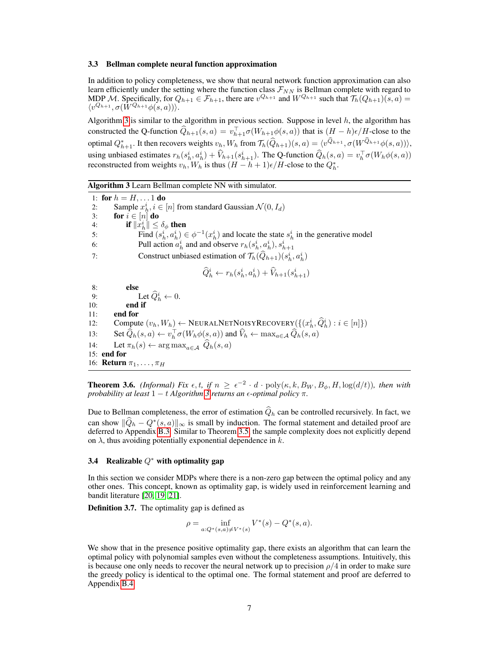#### 3.3 Bellman complete neural function approximation

In addition to policy completeness, we show that neural network function approximation can also learn efficiently under the setting where the function class  $\mathcal{F}_{NN}$  is Bellman complete with regard to MDP M. Specifically, for  $Q_{h+1} \in \mathcal{F}_{h+1}$ , there are  $v^{Q_{h+1}}$  and  $W^{Q_{h+1}}$  such that  $\mathcal{T}_h(Q_{h+1})(s, a)$  $\langle v^{Q_{h+1}}, \sigma(\tilde{W}^{Q_{h+1}}\phi(s,a)) \rangle.$ 

Algorithm [3](#page-6-2) is similar to the algorithm in previous section. Suppose in level  $h$ , the algorithm has constructed the Q-function  $\hat{Q}_{h+1}(s, a) = v_{h+1}^{\top} \sigma(W_{h+1} \phi(s, a))$  that is  $(H - h)\epsilon/H$ -close to the optimal  $Q_{h+1}^*$ . It then recovers weights  $v_h$ ,  $W_h$  from  $\mathcal{T}_h(\widehat{Q}_{h+1})(s, a) = \langle v^{\widehat{Q}_{h+1}}, \sigma(W_{h}^{\widehat{Q}_{h+1}}\phi(s, a)) \rangle$ , using unbiased estimates  $r_h(s_h^i, a_h^i) + \hat{V}_{h+1}(s_{h+1}^i)$ . The Q-function  $\hat{Q}_h(s, a) = v_h^{\top} \sigma(W_h \phi(s, a))$ reconstructed from weights  $v_h$ ,  $W_h$  is thus  $(H - h + 1)\epsilon/H$ -close to the  $Q_h^*$ .

<span id="page-6-2"></span>Algorithm 3 Learn Bellman complete NN with simulator.

1: for  $h = H, \ldots 1$  do 2: Sample  $x_h^i$ ,  $i \in [n]$  from standard Gaussian  $\mathcal{N}(0, I_d)$ 3: for  $i \in [n]$  do 4: **if**  $||x_h^i|| \le \delta_\phi$  then 5: Find  $(s_h^i, a_h^i) \in \phi^{-1}(x_h^i)$  and locate the state  $s_h^i$  in the generative model 6: Pull action  $a_h^i$  and and observe  $r_h(s_h^i, a_h^i), s_{h+1}^i$ 7: Construct unbiased estimation of  $\mathcal{T}_h(\widehat{Q}_{h+1})(s_h^i, a_h^i)$  $\widehat{Q}^i_h \leftarrow r_h(s^i_h, a^i_h) + \widehat{V}_{h+1}(s^i_{h+1})$ 8: else 9: Let  $\widehat{Q}_h^i \leftarrow 0$ . 10: end if 11: end for 12: Compute  $(v_h, W_h) \leftarrow \text{NEURALNETNOISYRECOVERY}(\{(x_h^i, \hat{Q}_h^i) : i \in [n]\})$ 13: Set  $\widehat{Q}_h(s, a) \leftarrow v_h^{\top} \sigma(W_h \phi(s, a))$  and  $\widehat{V}_h \leftarrow \max_{a \in \mathcal{A}} \widehat{Q}_h(s, a)$ 14: Let  $\pi_h(s) \leftarrow \arg \max_{a \in A} \widehat{Q}_h(s, a)$ 15: end for 16: **Return**  $\pi_1, \ldots, \pi_H$ 

<span id="page-6-0"></span>**Theorem 3.6.** *(Informal) Fix*  $\epsilon$ , t, if  $n \geq \epsilon^{-2} \cdot d \cdot \text{poly}(\kappa, k, B_W, B_\phi, H, \log(d/t))$ , then with *probability at least*  $1 - t$  *Algorithm 3 returns an*  $\epsilon$ *-optimal policy*  $\pi$ *.* 

Due to Bellman completeness, the error of estimation  $\hat{Q}_h$  can be controlled recursively. In fact, we can show  $||\hat{Q}_h - Q^*(s, a)||_{\infty}$  is small by induction. The formal statement and detailed proof are deferred to Appendix [B.3.](#page--1-3) Similar to Theorem [3.5,](#page-5-0) the sample complexity does not explicitly depend on  $\lambda$ , thus avoiding potentially exponential dependence in k.

#### 3.4 Realizable  $Q^*$  with optimality gap

In this section we consider MDPs where there is a non-zero gap between the optimal policy and any other ones. This concept, known as optimality gap, is widely used in reinforcement learning and bandit literature [\[20,](#page-11-1) [19,](#page-11-5) [21\]](#page-11-4).

Definition 3.7. The optimality gap is defined as

$$
\rho = \inf_{a: Q^*(s, a) \neq V^*(s)} V^*(s) - Q^*(s, a).
$$

<span id="page-6-1"></span>We show that in the presence positive optimality gap, there exists an algorithm that can learn the optimal policy with polynomial samples even without the completeness assumptions. Intuitively, this is because one only needs to recover the neural network up to precision  $\rho/4$  in order to make sure the greedy policy is identical to the optimal one. The formal statement and proof are deferred to Appendix [B.4.](#page--1-4)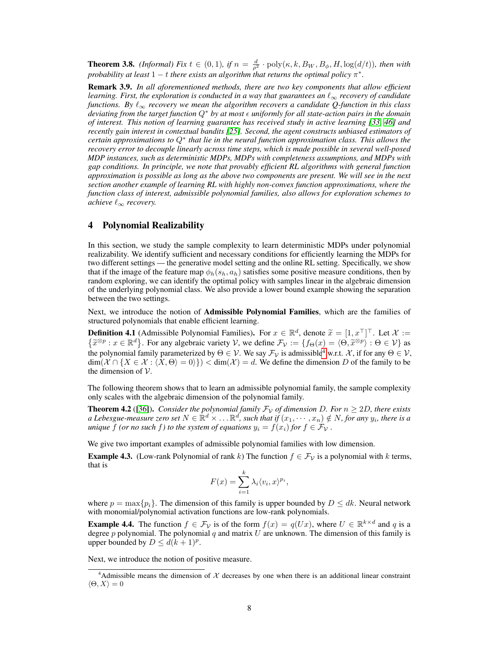**Theorem 3.8.** *(Informal) Fix*  $t \in (0,1)$ *, if*  $n = \frac{d}{\rho^2} \cdot \text{poly}(\kappa, k, B_W, B_\phi, H, \log(d/t))$ *, then with* probability at least  $1-t$  there exists an algorithm that returns the optimal policy  $\pi^*.$ 

Remark 3.9. *In all aforementioned methods, there are two key components that allow efficient learning. First, the exploration is conducted in a way that guarantees an*  $\ell_{\infty}$  *recovery of candidate functions. By* ℓ<sup>∞</sup> *recovery we mean the algorithm recovers a candidate Q-function in this class deviating from the target function* Q<sup>∗</sup> *by at most* ϵ *uniformly for all state-action pairs in the domain of interest. This notion of learning guarantee has received study in active learning [\[33,](#page-11-15) [46\]](#page-12-15) and recently gain interest in contextual bandits [\[25\]](#page-11-16). Second, the agent constructs unbiased estimators of certain approximations to* Q<sup>∗</sup> *that lie in the neural function approximation class. This allows the recovery error to decouple linearly across time steps, which is made possible in several well-posed MDP instances, such as deterministic MDPs, MDPs with completeness assumptions, and MDPs with gap conditions. In principle, we note that provably efficient RL algorithms with general function approximation is possible as long as the above two components are present. We will see in the next section another example of learning RL with highly non-convex function approximations, where the function class of interest, admissible polynomial families, also allows for exploration schemes to achieve*  $ℓ_{∞}$  *recovery.* 

# 4 Polynomial Realizability

In this section, we study the sample complexity to learn deterministic MDPs under polynomial realizability. We identify sufficient and necessary conditions for efficiently learning the MDPs for two different settings — the generative model setting and the online RL setting. Specifically, we show that if the image of the feature map  $\phi_h(s_h, a_h)$  satisfies some positive measure conditions, then by random exploring, we can identify the optimal policy with samples linear in the algebraic dimension of the underlying polynomial class. We also provide a lower bound example showing the separation between the two settings.

Next, we introduce the notion of **Admissible Polynomial Families**, which are the families of structured polynomials that enable efficient learning.

**Definition 4.1** (Admissible Polynomial Families). For  $x \in \mathbb{R}^d$ , denote  $\widetilde{x} = [1, x^\top]^\top$ . Let  $\mathcal{X} := \{\widetilde{x} \otimes p : x \in \mathbb{R}^d\}$ . For any algebraic variety  $\mathcal{Y}$ , we define  $\mathcal{F}_1 := \{f_2(x) = \langle \Theta, \widetilde{x} \otimes p \rangle : \Theta \$  $\{\tilde{x}^{\otimes p}: x \in \mathbb{R}^d\}$ . For any algebraic variety V, we define  $\mathcal{F}_v := \{f_{\Theta}(x) = \langle \Theta, \tilde{x}^{\otimes p} \rangle : \Theta \in \mathcal{V}\}$  as the polynomial family parameterized by  $\Theta \in \mathcal{V}$ . We say  $\mathcal{F}_{\mathcal{V}}$  is admissible<sup>[4](#page-7-1)</sup> w.r.t. X, if for any  $\Theta \in \mathcal{V}$ ,  $\dim(\mathcal{X} \cap \{X \in \mathcal{X} : \langle X, \Theta \rangle = 0)\}) < \dim(\mathcal{X}) = d$ . We define the dimension D of the family to be the dimension of  $V$ .

The following theorem shows that to learn an admissible polynomial family, the sample complexity only scales with the algebraic dimension of the polynomial family.

**Theorem 4.2** ([\[36\]](#page-12-16)). *Consider the polynomial family*  $\mathcal{F}_{\mathcal{V}}$  *of dimension D. For*  $n \geq 2D$ *, there exists* a Lebesgue-measure zero set  $N \in \mathbb{R}^d \times ... \mathbb{R}^d$ , such that if  $(x_1, \cdots, x_n) \notin N$ , for any  $y_i$ , there is a *unique*  $f$  *(or no such*  $f$ *) to the system of equations*  $y_i = f(x_i)$  *for*  $f \in \mathcal{F}_\mathcal{V}$ .

We give two important examples of admissible polynomial families with low dimension.

<span id="page-7-0"></span>**Example 4.3.** (Low-rank Polynomial of rank k) The function  $f \in \mathcal{F}_{\mathcal{V}}$  is a polynomial with k terms, that is

$$
F(x) = \sum_{i=1}^{k} \lambda_i \langle v_i, x \rangle^{p_i},
$$

where  $p = \max\{p_i\}$ . The dimension of this family is upper bounded by  $D \leq dk$ . Neural network with monomial/polynomial activation functions are low-rank polynomials.

**Example 4.4.** The function  $f \in \mathcal{F}_{\mathcal{V}}$  is of the form  $f(x) = q(Ux)$ , where  $U \in \mathbb{R}^{k \times d}$  and q is a degree p polynomial. The polynomial q and matrix  $U$  are unknown. The dimension of this family is upper bounded by  $D \leq d(k+1)^p$ .

Next, we introduce the notion of positive measure.

<span id="page-7-1"></span><sup>&</sup>lt;sup>4</sup>Admissible means the dimension of  $X$  decreases by one when there is an additional linear constraint  $\langle \Theta, X \rangle = 0$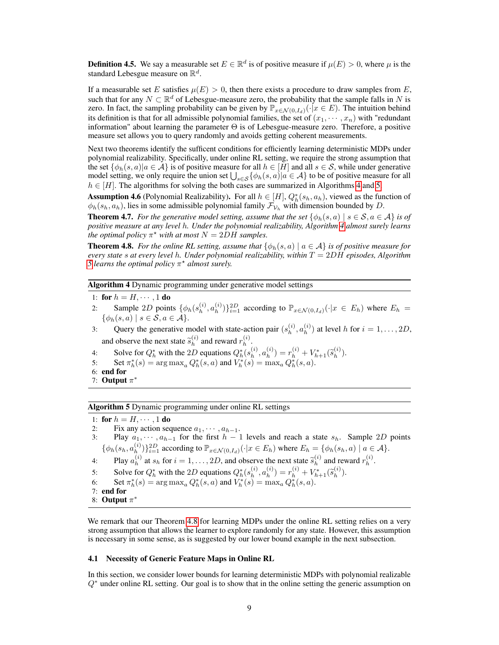**Definition 4.5.** We say a measurable set  $E \in \mathbb{R}^d$  is of positive measure if  $\mu(E) > 0$ , where  $\mu$  is the standard Lebesgue measure on  $\mathbb{R}^d$ .

If a measurable set E satisfies  $\mu(E) > 0$ , then there exists a procedure to draw samples from E, such that for any  $N \subset \mathbb{R}^d$  of Lebesgue-measure zero, the probability that the sample falls in N is zero. In fact, the sampling probability can be given by  $\mathbb{P}_{x \in \mathcal{N}(0,I_d)}(\cdot|x \in E)$ . The intuition behind its definition is that for all admissible polynomial families, the set of  $(x_1, \dots, x_n)$  with "redundant" information" about learning the parameter Θ is of Lebesgue-measure zero. Therefore, a positive measure set allows you to query randomly and avoids getting coherent measurements.

Next two theorems identify the sufficent conditions for efficiently learning deterministic MDPs under polynomial realizability. Specifically, under online RL setting, we require the strong assumption that the set  $\{\phi_h(s, a)|a \in \mathcal{A}\}\$ is of positive measure for all  $h \in [H]$  and all  $s \in \mathcal{S}$ , while under generative model setting, we only require the union set  $\bigcup_{s \in S} {\{\phi_h(s, a) | a \in \mathcal{A}\}}$  to be of positive measure for all  $h \in [H]$ . The algorithms for solving the both cases are summarized in Algorithms [4](#page-8-2) and [5.](#page-8-3)

<span id="page-8-4"></span>**Assumption 4.6** (Polynomial Realizability). For all  $h \in [H]$ ,  $Q_h^*(s_h, a_h)$ , viewed as the function of  $\phi_h(s_h, a_h)$ , lies in some admissible polynomial family  $\mathcal{F}_{\mathcal{V}_h}$  with dimension bounded by D.

<span id="page-8-0"></span>**Theorem 4.7.** For the generative model setting, assume that the set  $\{\phi_h(s, a) \mid s \in \mathcal{S}, a \in \mathcal{A}\}\$ is of *positive measure at any level* h*. Under the polynomial realizability, Algorithm [4](#page-8-2) almost surely learns the optimal policy*  $\pi^*$  *with at most*  $N = 2DH$  *samples.* 

<span id="page-8-1"></span>**Theorem 4.8.** For the online RL setting, assume that  $\{\phi_h(s, a) \mid a \in A\}$  is of positive measure for *every state* s *at every level* h*. Under polynomial realizability, within* T = 2DH *episodes, Algorithm [5](#page-8-3)* learns the optimal policy  $\pi^*$  almost surely.

<span id="page-8-2"></span>Algorithm 4 Dynamic programming under generative model settings

- 1: for  $h = H, \cdots, 1$  do
- 2: Sample 2D points  $\{\phi_h(s_h^{(i)})\}$  $\binom{i}{h}, a\binom{i}{h}$  $\{(\phi_h^{(i)})\}_{i=1}^{2D}$  according to  $\mathbb{P}_{x \in \mathcal{N}(0,I_d)}(\cdot | x \in E_h)$  where  $E_h =$  $\{\phi_h(s,a) \mid s \in \mathcal{S}, a \in \mathcal{A}\}.$
- 3: Query the generative model with state-action pair  $(s_h^{(i)}, a_h^{(i)})$  at level h for  $i = 1, \ldots, 2D$ ,  $h^{-1}$ ,  $u_h$ and observe the next state  $\tilde{s}_h^{(i)}$  $\binom{i}{h}$  and reward  $r_h^{(i)}$  $\stackrel{(i)}{h}$ .
- 4: Solve for  $Q_h^*$  with the 2D equations  $Q_h^*(s_h^{(i)})$  $\binom{i}{h}, a\binom{i}{h}$  $(r_h^{(i)}) = r_h^{(i)} + V_{h+1}^*(\tilde{s}_h^{(i)})$  $\binom{i}{h}$ .
- 5: Set  $\pi_h^*(s) = \arg \max_a Q_h^*(s, a)$  and  $V_h^*(s) = \max_a Q_h^*(s, a)$ .
- 6: end for
- 7: Output  $\pi^*$

<span id="page-8-3"></span>Algorithm 5 Dynamic programming under online RL settings

1: for  $h = H, \cdots, 1$  do

- 2: Fix any action sequence  $a_1, \dots, a_{h-1}$ .<br>3: Play  $a_1, \dots, a_{h-1}$  for the first  $h-1$
- Play  $a_1, \dots, a_{h-1}$  for the first  $h 1$  levels and reach a state  $s_h$ . Sample 2D points  $\{\phi_h(s_h,a_h^{(i)})$  $\{a_h^{(i)}\}_{i=1}^{2D}$  according to  $\mathbb{P}_{x \in \mathcal{N}(0,I_d)}(\cdot | x \in E_h)$  where  $E_h = \{ \phi_h(s_h, a) \mid a \in \mathcal{A} \}.$
- 4: Play  $a_h^{(i)}$ (i) at  $s_h$  for  $i = 1, ..., 2D$ , and observe the next state  $\tilde{s}_h^{(i)}$  $\binom{i}{h}$  and reward  $r_h^{(i)}$  $\stackrel{(i)}{h}$ .
- 5: Solve for  $Q_h^*$  with the 2D equations  $Q_h^*(s_h^{(i)})$  $\binom{i}{h}, a\binom{i}{h}$  $(r_h^{(i)}) = r_h^{(i)} + V_{h+1}^*(\tilde{s}_h^{(i)})$  $\binom{v}{h}$ .
- 6: Set  $\pi_h^*(s) = \arg \max_a Q_h^*(s, a)$  and  $V_h^*(s) = \max_a Q_h^*(s, a)$ .
- 7: end for
- 8: Output  $\pi^*$

We remark that our Theorem [4.8](#page-8-1) for learning MDPs under the online RL setting relies on a very strong assumption that allows the learner to explore randomly for any state. However, this assumption is necessary in some sense, as is suggested by our lower bound example in the next subsection.

#### 4.1 Necessity of Generic Feature Maps in Online RL

In this section, we consider lower bounds for learning deterministic MDPs with polynomial realizable  $Q^*$  under online RL setting. Our goal is to show that in the online setting the generic assumption on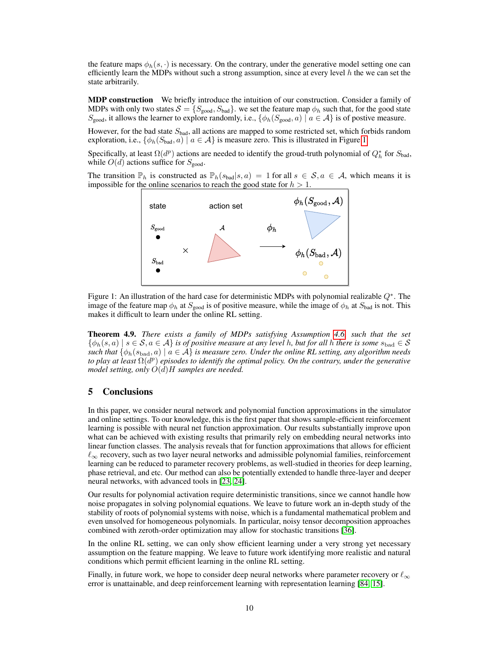the feature maps  $\phi_h(s, \cdot)$  is necessary. On the contrary, under the generative model setting one can efficiently learn the MDPs without such a strong assumption, since at every level  $h$  the we can set the state arbitrarily.

**MDP construction** We briefly introduce the intuition of our construction. Consider a family of MDPs with only two states  $\mathcal{S} = \{S_{\text{good}}, S_{\text{bad}}\}$ . we set the feature map  $\phi_h$  such that, for the good state  $S_{\text{good}}$ , it allows the learner to explore randomly, i.e.,  $\{\phi_h(S_{\text{good}}, a) \mid a \in \mathcal{A}\}\$ is of postive measure.

However, for the bad state  $S<sub>bad</sub>$ , all actions are mapped to some restricted set, which forbids random exploration, i.e.,  $\{\phi_h(S_{bad}, a) \mid a \in \mathcal{A}\}\$ is measure zero. This is illustrated in Figure [1.](#page-9-0)

Specifically, at least  $\Omega(d^p)$  actions are needed to identify the groud-truth polynomial of  $Q_h^*$  for  $S_{bad}$ , while  $O(d)$  actions suffice for  $S_{\text{good}}$ .

<span id="page-9-0"></span>The transition  $\mathbb{P}_h$  is constructed as  $\mathbb{P}_h(s_{bad}|s,a) = 1$  for all  $s \in \mathcal{S}, a \in \mathcal{A}$ , which means it is impossible for the online scenarios to reach the good state for  $h > 1$ .



Figure 1: An illustration of the hard case for deterministic MDPs with polynomial realizable  $Q^*$ . The image of the feature map  $\phi_h$  at  $S_{good}$  is of positive measure, while the image of  $\phi_h$  at  $S_{bad}$  is not. This makes it difficult to learn under the online RL setting.

Theorem 4.9. *There exists a family of MDPs satisfying Assumption [4.6,](#page-8-4) such that the set*  $\{\phi_h(s, a) \mid s \in \mathcal{S}, a \in \mathcal{A}\}\$ is of positive measure at any level h, but for all h there is some  $s_{\text{bad}} \in \mathcal{S}$ *such that*  $\{\phi_h(s_{bad}, a) \mid a \in \mathcal{A}\}\$ is measure zero. Under the online RL setting, any algorithm needs to play at least  $\Omega(d^p)$  episodes to identify the optimal policy. On the contrary, under the generative *model setting, only* O(d)H *samples are needed.*

# 5 Conclusions

In this paper, we consider neural network and polynomial function approximations in the simulator and online settings. To our knowledge, this is the first paper that shows sample-efficient reinforcement learning is possible with neural net function approximation. Our results substantially improve upon what can be achieved with existing results that primarily rely on embedding neural networks into linear function classes. The analysis reveals that for function approximations that allows for efficient  $\ell_{\infty}$  recovery, such as two layer neural networks and admissible polynomial families, reinforcement learning can be reduced to parameter recovery problems, as well-studied in theories for deep learning, phase retrieval, and etc. Our method can also be potentially extended to handle three-layer and deeper neural networks, with advanced tools in [\[23,](#page-11-17) [24\]](#page-11-18).

Our results for polynomial activation require deterministic transitions, since we cannot handle how noise propagates in solving polynomial equations. We leave to future work an in-depth study of the stability of roots of polynomial systems with noise, which is a fundamental mathematical problem and even unsolved for homogeneous polynomials. In particular, noisy tensor decomposition approaches combined with zeroth-order optimization may allow for stochastic transitions [\[36\]](#page-12-16).

In the online RL setting, we can only show efficient learning under a very strong yet necessary assumption on the feature mapping. We leave to future work identifying more realistic and natural conditions which permit efficient learning in the online RL setting.

Finally, in future work, we hope to consider deep neural networks where parameter recovery or  $\ell_{\infty}$ error is unattainable, and deep reinforcement learning with representation learning [\[84,](#page-14-16) [15\]](#page-10-14).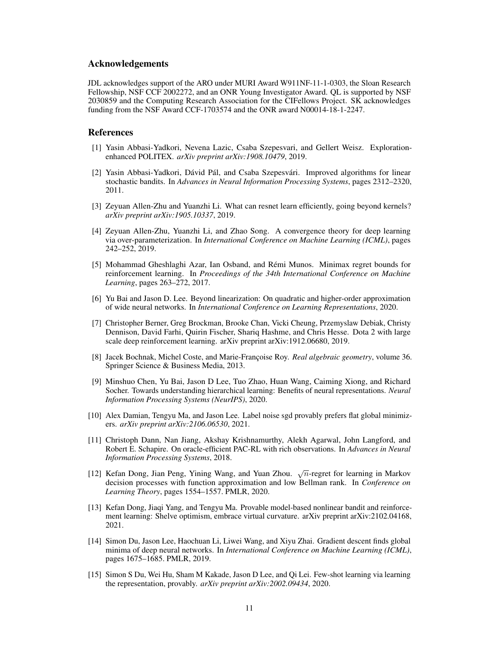# Acknowledgements

JDL acknowledges support of the ARO under MURI Award W911NF-11-1-0303, the Sloan Research Fellowship, NSF CCF 2002272, and an ONR Young Investigator Award. QL is supported by NSF 2030859 and the Computing Research Association for the CIFellows Project. SK acknowledges funding from the NSF Award CCF-1703574 and the ONR award N00014-18-1-2247.

## References

- <span id="page-10-2"></span>[1] Yasin Abbasi-Yadkori, Nevena Lazic, Csaba Szepesvari, and Gellert Weisz. Explorationenhanced POLITEX. *arXiv preprint arXiv:1908.10479*, 2019.
- <span id="page-10-9"></span>[2] Yasin Abbasi-Yadkori, Dávid Pál, and Csaba Szepesvári. Improved algorithms for linear stochastic bandits. In *Advances in Neural Information Processing Systems*, pages 2312–2320, 2011.
- <span id="page-10-10"></span>[3] Zeyuan Allen-Zhu and Yuanzhi Li. What can resnet learn efficiently, going beyond kernels? *arXiv preprint arXiv:1905.10337*, 2019.
- <span id="page-10-6"></span>[4] Zeyuan Allen-Zhu, Yuanzhi Li, and Zhao Song. A convergence theory for deep learning via over-parameterization. In *International Conference on Machine Learning (ICML)*, pages 242–252, 2019.
- <span id="page-10-1"></span>[5] Mohammad Gheshlaghi Azar, Ian Osband, and Rémi Munos. Minimax regret bounds for reinforcement learning. In *Proceedings of the 34th International Conference on Machine Learning*, pages 263–272, 2017.
- <span id="page-10-11"></span>[6] Yu Bai and Jason D. Lee. Beyond linearization: On quadratic and higher-order approximation of wide neural networks. In *International Conference on Learning Representations*, 2020.
- <span id="page-10-0"></span>[7] Christopher Berner, Greg Brockman, Brooke Chan, Vicki Cheung, Przemyslaw Debiak, Christy Dennison, David Farhi, Quirin Fischer, Shariq Hashme, and Chris Hesse. Dota 2 with large scale deep reinforcement learning. arXiv preprint arXiv:1912.06680, 2019.
- <span id="page-10-8"></span>[8] Jacek Bochnak, Michel Coste, and Marie-Françoise Roy. *Real algebraic geometry*, volume 36. Springer Science & Business Media, 2013.
- <span id="page-10-12"></span>[9] Minshuo Chen, Yu Bai, Jason D Lee, Tuo Zhao, Huan Wang, Caiming Xiong, and Richard Socher. Towards understanding hierarchical learning: Benefits of neural representations. *Neural Information Processing Systems (NeurIPS)*, 2020.
- <span id="page-10-13"></span>[10] Alex Damian, Tengyu Ma, and Jason Lee. Label noise sgd provably prefers flat global minimizers. *arXiv preprint arXiv:2106.06530*, 2021.
- <span id="page-10-3"></span>[11] Christoph Dann, Nan Jiang, Akshay Krishnamurthy, Alekh Agarwal, John Langford, and Robert E. Schapire. On oracle-efficient PAC-RL with rich observations. In *Advances in Neural Information Processing Systems*, 2018.
- <span id="page-10-4"></span>[12] Kefan Dong, Jian Peng, Yining Wang, and Yuan Zhou.  $\sqrt{n}$ -regret for learning in Markov decision processes with function approximation and low Bellman rank. In *Conference on Learning Theory*, pages 1554–1557. PMLR, 2020.
- <span id="page-10-5"></span>[13] Kefan Dong, Jiaqi Yang, and Tengyu Ma. Provable model-based nonlinear bandit and reinforcement learning: Shelve optimism, embrace virtual curvature. arXiv preprint arXiv:2102.04168, 2021.
- <span id="page-10-7"></span>[14] Simon Du, Jason Lee, Haochuan Li, Liwei Wang, and Xiyu Zhai. Gradient descent finds global minima of deep neural networks. In *International Conference on Machine Learning (ICML)*, pages 1675–1685. PMLR, 2019.
- <span id="page-10-14"></span>[15] Simon S Du, Wei Hu, Sham M Kakade, Jason D Lee, and Qi Lei. Few-shot learning via learning the representation, provably. *arXiv preprint arXiv:2002.09434*, 2020.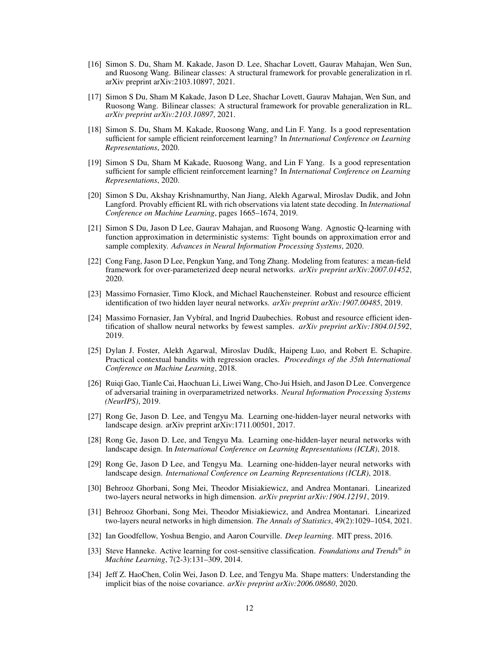- <span id="page-11-11"></span>[16] Simon S. Du, Sham M. Kakade, Jason D. Lee, Shachar Lovett, Gaurav Mahajan, Wen Sun, and Ruosong Wang. Bilinear classes: A structural framework for provable generalization in rl. arXiv preprint arXiv:2103.10897, 2021.
- <span id="page-11-13"></span>[17] Simon S Du, Sham M Kakade, Jason D Lee, Shachar Lovett, Gaurav Mahajan, Wen Sun, and Ruosong Wang. Bilinear classes: A structural framework for provable generalization in RL. *arXiv preprint arXiv:2103.10897*, 2021.
- <span id="page-11-2"></span>[18] Simon S. Du, Sham M. Kakade, Ruosong Wang, and Lin F. Yang. Is a good representation sufficient for sample efficient reinforcement learning? In *International Conference on Learning Representations*, 2020.
- <span id="page-11-5"></span>[19] Simon S Du, Sham M Kakade, Ruosong Wang, and Lin F Yang. Is a good representation sufficient for sample efficient reinforcement learning? In *International Conference on Learning Representations*, 2020.
- <span id="page-11-1"></span>[20] Simon S Du, Akshay Krishnamurthy, Nan Jiang, Alekh Agarwal, Miroslav Dudik, and John Langford. Provably efficient RL with rich observations via latent state decoding. In *International Conference on Machine Learning*, pages 1665–1674, 2019.
- <span id="page-11-4"></span>[21] Simon S Du, Jason D Lee, Gaurav Mahajan, and Ruosong Wang. Agnostic Q-learning with function approximation in deterministic systems: Tight bounds on approximation error and sample complexity. *Advances in Neural Information Processing Systems*, 2020.
- <span id="page-11-7"></span>[22] Cong Fang, Jason D Lee, Pengkun Yang, and Tong Zhang. Modeling from features: a mean-field framework for over-parameterized deep neural networks. *arXiv preprint arXiv:2007.01452*, 2020.
- <span id="page-11-17"></span>[23] Massimo Fornasier, Timo Klock, and Michael Rauchensteiner. Robust and resource efficient identification of two hidden layer neural networks. *arXiv preprint arXiv:1907.00485*, 2019.
- <span id="page-11-18"></span>[24] Massimo Fornasier, Jan Vybíral, and Ingrid Daubechies. Robust and resource efficient identification of shallow neural networks by fewest samples. *arXiv preprint arXiv:1804.01592*, 2019.
- <span id="page-11-16"></span>[25] Dylan J. Foster, Alekh Agarwal, Miroslav Dudík, Haipeng Luo, and Robert E. Schapire. Practical contextual bandits with regression oracles. *Proceedings of the 35th International Conference on Machine Learning*, 2018.
- <span id="page-11-8"></span>[26] Ruiqi Gao, Tianle Cai, Haochuan Li, Liwei Wang, Cho-Jui Hsieh, and Jason D Lee. Convergence of adversarial training in overparametrized networks. *Neural Information Processing Systems (NeurIPS)*, 2019.
- <span id="page-11-14"></span>[27] Rong Ge, Jason D. Lee, and Tengyu Ma. Learning one-hidden-layer neural networks with landscape design. arXiv preprint arXiv:1711.00501, 2017.
- <span id="page-11-3"></span>[28] Rong Ge, Jason D. Lee, and Tengyu Ma. Learning one-hidden-layer neural networks with landscape design. In *International Conference on Learning Representations (ICLR)*, 2018.
- <span id="page-11-9"></span>[29] Rong Ge, Jason D Lee, and Tengyu Ma. Learning one-hidden-layer neural networks with landscape design. *International Conference on Learning Representations (ICLR)*, 2018.
- <span id="page-11-6"></span>[30] Behrooz Ghorbani, Song Mei, Theodor Misiakiewicz, and Andrea Montanari. Linearized two-layers neural networks in high dimension. *arXiv preprint arXiv:1904.12191*, 2019.
- <span id="page-11-12"></span>[31] Behrooz Ghorbani, Song Mei, Theodor Misiakiewicz, and Andrea Montanari. Linearized two-layers neural networks in high dimension. *The Annals of Statistics*, 49(2):1029–1054, 2021.
- <span id="page-11-0"></span>[32] Ian Goodfellow, Yoshua Bengio, and Aaron Courville. *Deep learning*. MIT press, 2016.
- <span id="page-11-15"></span>[33] Steve Hanneke. Active learning for cost-sensitive classification. *Foundations and Trends® in Machine Learning*, 7(2-3):131–309, 2014.
- <span id="page-11-10"></span>[34] Jeff Z. HaoChen, Colin Wei, Jason D. Lee, and Tengyu Ma. Shape matters: Understanding the implicit bias of the noise covariance. *arXiv preprint arXiv:2006.08680*, 2020.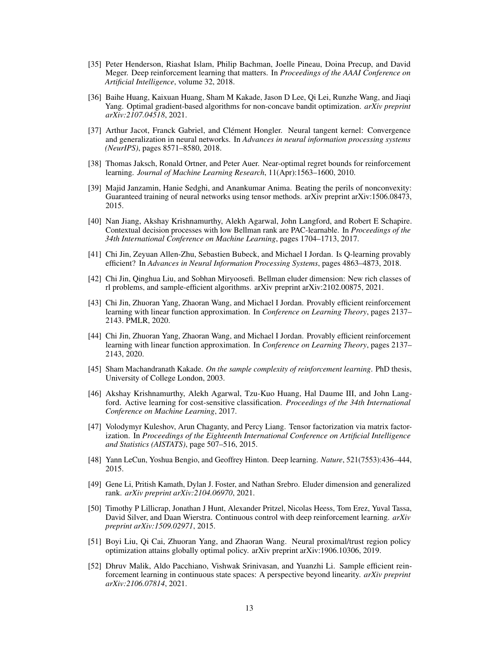- <span id="page-12-1"></span>[35] Peter Henderson, Riashat Islam, Philip Bachman, Joelle Pineau, Doina Precup, and David Meger. Deep reinforcement learning that matters. In *Proceedings of the AAAI Conference on Artificial Intelligence*, volume 32, 2018.
- <span id="page-12-16"></span>[36] Baihe Huang, Kaixuan Huang, Sham M Kakade, Jason D Lee, Qi Lei, Runzhe Wang, and Jiaqi Yang. Optimal gradient-based algorithms for non-concave bandit optimization. *arXiv preprint arXiv:2107.04518*, 2021.
- <span id="page-12-9"></span>[37] Arthur Jacot, Franck Gabriel, and Clément Hongler. Neural tangent kernel: Convergence and generalization in neural networks. In *Advances in neural information processing systems (NeurIPS)*, pages 8571–8580, 2018.
- <span id="page-12-3"></span>[38] Thomas Jaksch, Ronald Ortner, and Peter Auer. Near-optimal regret bounds for reinforcement learning. *Journal of Machine Learning Research*, 11(Apr):1563–1600, 2010.
- <span id="page-12-13"></span>[39] Majid Janzamin, Hanie Sedghi, and Anankumar Anima. Beating the perils of nonconvexity: Guaranteed training of neural networks using tensor methods. arXiv preprint arXiv:1506.08473, 2015.
- <span id="page-12-8"></span>[40] Nan Jiang, Akshay Krishnamurthy, Alekh Agarwal, John Langford, and Robert E Schapire. Contextual decision processes with low Bellman rank are PAC-learnable. In *Proceedings of the 34th International Conference on Machine Learning*, pages 1704–1713, 2017.
- <span id="page-12-4"></span>[41] Chi Jin, Zeyuan Allen-Zhu, Sebastien Bubeck, and Michael I Jordan. Is Q-learning provably efficient? In *Advances in Neural Information Processing Systems*, pages 4863–4873, 2018.
- <span id="page-12-14"></span>[42] Chi Jin, Qinghua Liu, and Sobhan Miryoosefi. Bellman eluder dimension: New rich classes of rl problems, and sample-efficient algorithms. arXiv preprint arXiv:2102.00875, 2021.
- <span id="page-12-5"></span>[43] Chi Jin, Zhuoran Yang, Zhaoran Wang, and Michael I Jordan. Provably efficient reinforcement learning with linear function approximation. In *Conference on Learning Theory*, pages 2137– 2143. PMLR, 2020.
- <span id="page-12-6"></span>[44] Chi Jin, Zhuoran Yang, Zhaoran Wang, and Michael I Jordan. Provably efficient reinforcement learning with linear function approximation. In *Conference on Learning Theory*, pages 2137– 2143, 2020.
- <span id="page-12-12"></span>[45] Sham Machandranath Kakade. *On the sample complexity of reinforcement learning*. PhD thesis, University of College London, 2003.
- <span id="page-12-15"></span>[46] Akshay Krishnamurthy, Alekh Agarwal, Tzu-Kuo Huang, Hal Daume III, and John Langford. Active learning for cost-sensitive classification. *Proceedings of the 34th International Conference on Machine Learning*, 2017.
- [47] Volodymyr Kuleshov, Arun Chaganty, and Percy Liang. Tensor factorization via matrix factorization. In *Proceedings of the Eighteenth International Conference on Artificial Intelligence and Statistics (AISTATS)*, page 507–516, 2015.
- <span id="page-12-0"></span>[48] Yann LeCun, Yoshua Bengio, and Geoffrey Hinton. Deep learning. *Nature*, 521(7553):436–444, 2015.
- <span id="page-12-10"></span>[49] Gene Li, Pritish Kamath, Dylan J. Foster, and Nathan Srebro. Eluder dimension and generalized rank. *arXiv preprint arXiv:2104.06970*, 2021.
- <span id="page-12-2"></span>[50] Timothy P Lillicrap, Jonathan J Hunt, Alexander Pritzel, Nicolas Heess, Tom Erez, Yuval Tassa, David Silver, and Daan Wierstra. Continuous control with deep reinforcement learning. *arXiv preprint arXiv:1509.02971*, 2015.
- <span id="page-12-7"></span>[51] Boyi Liu, Qi Cai, Zhuoran Yang, and Zhaoran Wang. Neural proximal/trust region policy optimization attains globally optimal policy. arXiv preprint arXiv:1906.10306, 2019.
- <span id="page-12-11"></span>[52] Dhruv Malik, Aldo Pacchiano, Vishwak Srinivasan, and Yuanzhi Li. Sample efficient reinforcement learning in continuous state spaces: A perspective beyond linearity. *arXiv preprint arXiv:2106.07814*, 2021.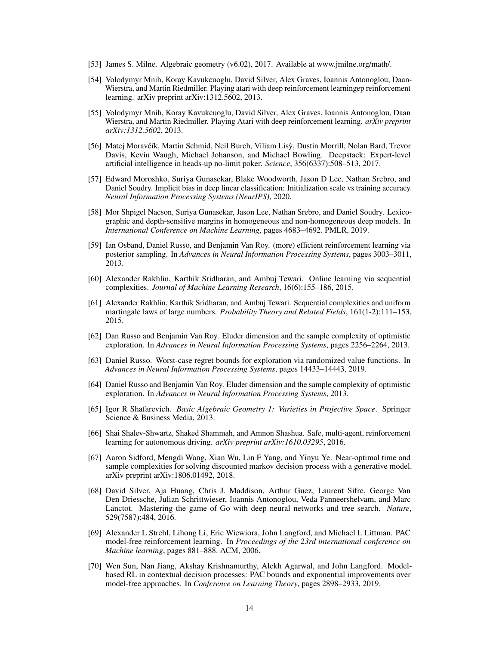- <span id="page-13-11"></span>[53] James S. Milne. Algebraic geometry (v6.02), 2017. Available at www.jmilne.org/math/.
- <span id="page-13-1"></span>[54] Volodymyr Mnih, Koray Kavukcuoglu, David Silver, Alex Graves, Ioannis Antonoglou, Daan-Wierstra, and Martin Riedmiller. Playing atari with deep reinforcement learningep reinforcement learning. arXiv preprint arXiv:1312.5602, 2013.
- <span id="page-13-4"></span>[55] Volodymyr Mnih, Koray Kavukcuoglu, David Silver, Alex Graves, Ioannis Antonoglou, Daan Wierstra, and Martin Riedmiller. Playing Atari with deep reinforcement learning. *arXiv preprint arXiv:1312.5602*, 2013.
- <span id="page-13-2"></span>[56] Matej Moravčík, Martin Schmid, Neil Burch, Viliam Lisỳ, Dustin Morrill, Nolan Bard, Trevor Davis, Kevin Waugh, Michael Johanson, and Michael Bowling. Deepstack: Expert-level artificial intelligence in heads-up no-limit poker. *Science*, 356(6337):508–513, 2017.
- <span id="page-13-16"></span>[57] Edward Moroshko, Suriya Gunasekar, Blake Woodworth, Jason D Lee, Nathan Srebro, and Daniel Soudry. Implicit bias in deep linear classification: Initialization scale vs training accuracy. *Neural Information Processing Systems (NeurIPS)*, 2020.
- <span id="page-13-15"></span>[58] Mor Shpigel Nacson, Suriya Gunasekar, Jason Lee, Nathan Srebro, and Daniel Soudry. Lexicographic and depth-sensitive margins in homogeneous and non-homogeneous deep models. In *International Conference on Machine Learning*, pages 4683–4692. PMLR, 2019.
- <span id="page-13-14"></span>[59] Ian Osband, Daniel Russo, and Benjamin Van Roy. (more) efficient reinforcement learning via posterior sampling. In *Advances in Neural Information Processing Systems*, pages 3003–3011, 2013.
- <span id="page-13-8"></span>[60] Alexander Rakhlin, Karthik Sridharan, and Ambuj Tewari. Online learning via sequential complexities. *Journal of Machine Learning Research*, 16(6):155–186, 2015.
- <span id="page-13-9"></span>[61] Alexander Rakhlin, Karthik Sridharan, and Ambuj Tewari. Sequential complexities and uniform martingale laws of large numbers. *Probability Theory and Related Fields*, 161(1-2):111–153, 2015.
- <span id="page-13-13"></span>[62] Dan Russo and Benjamin Van Roy. Eluder dimension and the sample complexity of optimistic exploration. In *Advances in Neural Information Processing Systems*, pages 2256–2264, 2013.
- <span id="page-13-6"></span>[63] Daniel Russo. Worst-case regret bounds for exploration via randomized value functions. In *Advances in Neural Information Processing Systems*, pages 14433–14443, 2019.
- <span id="page-13-7"></span>[64] Daniel Russo and Benjamin Van Roy. Eluder dimension and the sample complexity of optimistic exploration. In *Advances in Neural Information Processing Systems*, 2013.
- <span id="page-13-12"></span>[65] Igor R Shafarevich. *Basic Algebraic Geometry 1: Varieties in Projective Space*. Springer Science & Business Media, 2013.
- <span id="page-13-3"></span>[66] Shai Shalev-Shwartz, Shaked Shammah, and Amnon Shashua. Safe, multi-agent, reinforcement learning for autonomous driving. *arXiv preprint arXiv:1610.03295*, 2016.
- <span id="page-13-10"></span>[67] Aaron Sidford, Mengdi Wang, Xian Wu, Lin F Yang, and Yinyu Ye. Near-optimal time and sample complexities for solving discounted markov decision process with a generative model. arXiv preprint arXiv:1806.01492, 2018.
- <span id="page-13-0"></span>[68] David Silver, Aja Huang, Chris J. Maddison, Arthur Guez, Laurent Sifre, George Van Den Driessche, Julian Schrittwieser, Ioannis Antonoglou, Veda Panneershelvam, and Marc Lanctot. Mastering the game of Go with deep neural networks and tree search. *Nature*, 529(7587):484, 2016.
- <span id="page-13-5"></span>[69] Alexander L Strehl, Lihong Li, Eric Wiewiora, John Langford, and Michael L Littman. PAC model-free reinforcement learning. In *Proceedings of the 23rd international conference on Machine learning*, pages 881–888. ACM, 2006.
- <span id="page-13-17"></span>[70] Wen Sun, Nan Jiang, Akshay Krishnamurthy, Alekh Agarwal, and John Langford. Modelbased RL in contextual decision processes: PAC bounds and exponential improvements over model-free approaches. In *Conference on Learning Theory*, pages 2898–2933, 2019.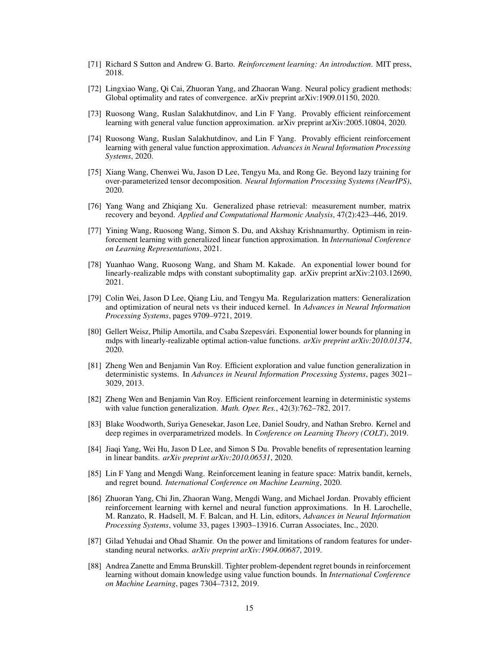- <span id="page-14-0"></span>[71] Richard S Sutton and Andrew G. Barto. *Reinforcement learning: An introduction*. MIT press, 2018.
- <span id="page-14-4"></span>[72] Lingxiao Wang, Qi Cai, Zhuoran Yang, and Zhaoran Wang. Neural policy gradient methods: Global optimality and rates of convergence. arXiv preprint arXiv:1909.01150, 2020.
- <span id="page-14-10"></span>[73] Ruosong Wang, Ruslan Salakhutdinov, and Lin F Yang. Provably efficient reinforcement learning with general value function approximation. arXiv preprint arXiv:2005.10804, 2020.
- <span id="page-14-15"></span>[74] Ruosong Wang, Ruslan Salakhutdinov, and Lin F Yang. Provably efficient reinforcement learning with general value function approximation. *Advances in Neural Information Processing Systems*, 2020.
- <span id="page-14-13"></span>[75] Xiang Wang, Chenwei Wu, Jason D Lee, Tengyu Ma, and Rong Ge. Beyond lazy training for over-parameterized tensor decomposition. *Neural Information Processing Systems (NeurIPS)*, 2020.
- <span id="page-14-8"></span>[76] Yang Wang and Zhiqiang Xu. Generalized phase retrieval: measurement number, matrix recovery and beyond. *Applied and Computational Harmonic Analysis*, 47(2):423–446, 2019.
- <span id="page-14-2"></span>[77] Yining Wang, Ruosong Wang, Simon S. Du, and Akshay Krishnamurthy. Optimism in reinforcement learning with generalized linear function approximation. In *International Conference on Learning Representations*, 2021.
- <span id="page-14-7"></span>[78] Yuanhao Wang, Ruosong Wang, and Sham M. Kakade. An exponential lower bound for linearly-realizable mdps with constant suboptimality gap. arXiv preprint arXiv:2103.12690, 2021.
- <span id="page-14-11"></span>[79] Colin Wei, Jason D Lee, Qiang Liu, and Tengyu Ma. Regularization matters: Generalization and optimization of neural nets vs their induced kernel. In *Advances in Neural Information Processing Systems*, pages 9709–9721, 2019.
- <span id="page-14-14"></span>[80] Gellert Weisz, Philip Amortila, and Csaba Szepesvári. Exponential lower bounds for planning in mdps with linearly-realizable optimal action-value functions. *arXiv preprint arXiv:2010.01374*, 2020.
- [81] Zheng Wen and Benjamin Van Roy. Efficient exploration and value function generalization in deterministic systems. In *Advances in Neural Information Processing Systems*, pages 3021– 3029, 2013.
- <span id="page-14-3"></span>[82] Zheng Wen and Benjamin Van Roy. Efficient reinforcement learning in deterministic systems with value function generalization. *Math. Oper. Res.*, 42(3):762–782, 2017.
- <span id="page-14-12"></span>[83] Blake Woodworth, Suriya Genesekar, Jason Lee, Daniel Soudry, and Nathan Srebro. Kernel and deep regimes in overparametrized models. In *Conference on Learning Theory (COLT)*, 2019.
- <span id="page-14-16"></span>[84] Jiaqi Yang, Wei Hu, Jason D Lee, and Simon S Du. Provable benefits of representation learning in linear bandits. *arXiv preprint arXiv:2010.06531*, 2020.
- <span id="page-14-9"></span>[85] Lin F Yang and Mengdi Wang. Reinforcement leaning in feature space: Matrix bandit, kernels, and regret bound. *International Conference on Machine Learning*, 2020.
- <span id="page-14-5"></span>[86] Zhuoran Yang, Chi Jin, Zhaoran Wang, Mengdi Wang, and Michael Jordan. Provably efficient reinforcement learning with kernel and neural function approximations. In H. Larochelle, M. Ranzato, R. Hadsell, M. F. Balcan, and H. Lin, editors, *Advances in Neural Information Processing Systems*, volume 33, pages 13903–13916. Curran Associates, Inc., 2020.
- <span id="page-14-6"></span>[87] Gilad Yehudai and Ohad Shamir. On the power and limitations of random features for understanding neural networks. *arXiv preprint arXiv:1904.00687*, 2019.
- <span id="page-14-1"></span>[88] Andrea Zanette and Emma Brunskill. Tighter problem-dependent regret bounds in reinforcement learning without domain knowledge using value function bounds. In *International Conference on Machine Learning*, pages 7304–7312, 2019.